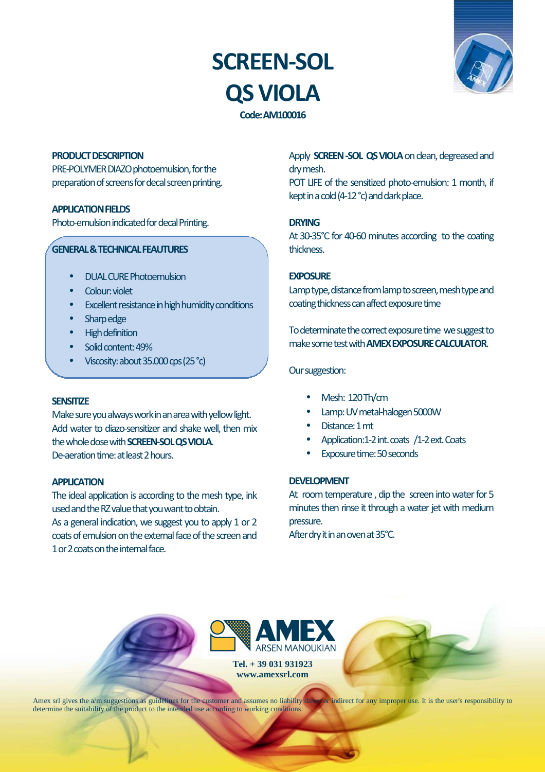# **SCREEN-SOL QS VIOLA**



**Code: AM100016** 

### **PRODUCT DESCRIPTION**

PRE-POLYMER DIAZO photoemulsion, for the preparation of screens for decal screen printing.

# **APPLICATION FIELDS**

Photo-emulsion indicated for decal Printing.

### **GENERAL & TECHNICAL FEAUTURES**

- DUAL CURE Photoemulsion
- Colour: violet
- Excellent resistance in high humidity conditions
- Sharp edge
- High definition
- Solid content: 49%
- Viscosity: about 35.000 cps (25 °c)

#### **SENSITIZE**

Make sure you always work in an area with yellow light. Add water to diazo-sensitizer and shake well, then mix the whole dose with **SCREEN-SOL QS VIOLA**. De-aeration time: at least 2 hours.

#### **APPLICATION**

The ideal application is according to the mesh type, ink used and the RZ value that you want to obtain.

As a general indication, we suggest you to apply 1 or 2 coats of emulsion on the external face of the screen and 1 or 2 coats on the internal face.

Apply **SCREEN -SOL QS VIOLA** on clean, degreased and dry mesh.

POT LIFE of the sensitized photo-emulsion: 1 month, if kept in a cold (4-12 °c) and dark place.

# **DRYING**

At 30-35°C for 40-60 minutes according to the coating thickness.

# **EXPOSURE**

Lamp type, distance from lamp to screen, mesh type and coating thickness can affect exposure time

To determinate the correct exposure time we suggest to make some test with **AMEX EXPOSURE CALCULATOR**.

### Our suggestion:

- Mesh: 120 Th/cm
- Lamp: UV metal-halogen 5000W
- Distance: 1 mt
- Application:1-2 int. coats /1-2 ext. Coats
- Exposure time: 50 seconds

# **DEVELOPMENT**

At room temperature , dip the screen into water for 5 minutes then rinse it through a water jet with medium pressure.

After dry it in an oven at 35°C.



**Tel. + 39 031 931923 www.amexsrl.com** 

Amex srl gives the a/m suggestions as guidelines for the customer and assumes no liability direct for any improper use. It is the user's responsibility to determine the suitability of the product to the intended use according to working conditions.